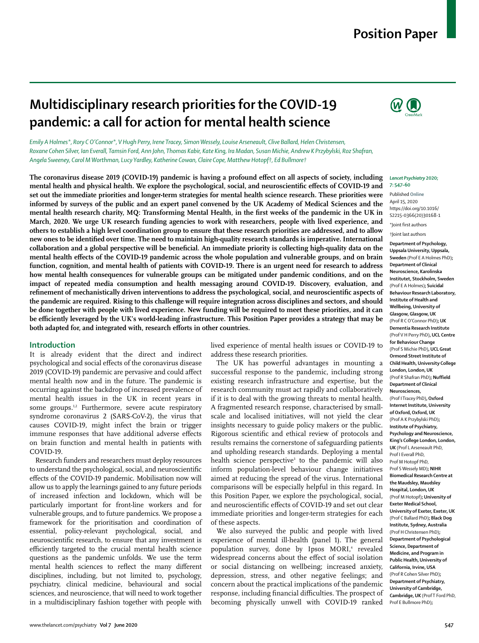# **Position Paper**

# **Multidisciplinary research priorities for the COVID-19 pandemic: a call for action for mental health science**

*Emily A Holmes\*, Rory C O'Connor\*, V Hugh Perry, Irene Tracey, Simon Wessely, Louise Arseneault, Clive Ballard, Helen Christensen, Roxane Cohen Silver, Ian Everall, Tamsin Ford, Ann John, Thomas Kabir, Kate King, Ira Madan, Susan Michie, Andrew K Przybylski, Roz Shafran, Angela Sweeney, Carol M Worthman, Lucy Yardley, Katherine Cowan, Claire Cope, Matthew Hotopf†, Ed Bullmore†*

**The coronavirus disease 2019 (COVID-19) pandemic is having a profound effect on all aspects of society, including mental health and physical health. We explore the psychological, social, and neuroscientific effects of COVID-19 and set out the immediate priorities and longer-term strategies for mental health science research. These priorities were informed by surveys of the public and an expert panel convened by the UK Academy of Medical Sciences and the mental health research charity, MQ: Transforming Mental Health, in the first weeks of the pandemic in the UK in March, 2020. We urge UK research funding agencies to work with researchers, people with lived experience, and others to establish a high level coordination group to ensure that these research priorities are addressed, and to allow new ones to be identified over time. The need to maintain high-quality research standards is imperative. International collaboration and a global perspective will be beneficial. An immediate priority is collecting high-quality data on the mental health effects of the COVID-19 pandemic across the whole population and vulnerable groups, and on brain function, cognition, and mental health of patients with COVID-19. There is an urgent need for research to address how mental health consequences for vulnerable groups can be mitigated under pandemic conditions, and on the impact of repeated media consumption and health messaging around COVID-19. Discovery, evaluation, and refinement of mechanistically driven interventions to address the psychological, social, and neuroscientific aspects of the pandemic are required. Rising to this challenge will require integration across disciplines and sectors, and should be done together with people with lived experience. New funding will be required to meet these priorities, and it can be efficiently leveraged by the UK's world-leading infrastructure. This Position Paper provides a strategy that may be both adapted for, and integrated with, research efforts in other countries.**

## **Introduction**

It is already evident that the direct and indirect psychological and social effects of the coronavirus disease 2019 (COVID-19) pandemic are pervasive and could affect mental health now and in the future. The pandemic is occurring against the backdrop of increased prevalence of mental health issues in the UK in recent years in some groups.<sup>1,2</sup> Furthermore, severe acute respiratory syndrome coronavirus 2 (SARS-CoV-2), the virus that causes COVID-19, might infect the brain or trigger immune responses that have additional adverse effects on brain function and mental health in patients with COVID-19.

Research funders and researchers must deploy resources to understand the psychological, social, and neuroscientific effects of the COVID-19 pandemic. Mobilisation now will allow us to apply the learnings gained to any future periods of increased infection and lockdown, which will be particularly important for front-line workers and for vulnerable groups, and to future pandemics. We propose a framework for the prioritisation and coordination of essential, policy-relevant psychological, social, and neuroscientific research, to ensure that any investment is efficiently targeted to the crucial mental health science questions as the pandemic unfolds. We use the term mental health sciences to reflect the many different disciplines, including, but not limited to, psychology, psychiatry, clinical medicine, behavioural and social sciences, and neuroscience, that will need to work together in a multidisciplinary fashion together with people with lived experience of mental health issues or COVID-19 to address these research priorities.

The UK has powerful advantages in mounting a successful response to the pandemic, including strong existing research infrastructure and expertise, but the research community must act rapidly and collaboratively if it is to deal with the growing threats to mental health. A fragmented research response, characterised by smallscale and localised initiatives, will not yield the clear insights necessary to guide policy makers or the public. Rigorous scientific and ethical review of protocols and results remains the cornerstone of safeguarding patients and upholding research standards. Deploying a mental health science perspective<sup>3</sup> to the pandemic will also inform population-level behaviour change initiatives aimed at reducing the spread of the virus. International comparisons will be especially helpful in this regard. In this Position Paper, we explore the psychological, social, and neuroscientific effects of COVID-19 and set out clear immediate priorities and longer-term strategies for each of these aspects.

We also surveyed the public and people with lived experience of mental ill-health (panel 1). The general population survey, done by Ipsos MORI,<sup>4</sup> revealed widespread concerns about the effect of social isolation or social distancing on wellbeing; increased anxiety, depression, stress, and other negative feelings; and concern about the practical implications of the pandemic response, including financial difficulties. The prospect of becoming physically unwell with COVID-19 ranked



#### *Lancet Psychiatry* **2020; 7: 547–60**

Published **Online** April 15, 2020 https://doi.org/10.1016/ S2215-0366(20)30168-1

\*Joint first authors †Joint last authors

**Department of Psychology, Uppsala University, Uppsala, Sweden** (Prof E A Holmes PhD)**; Department of Clinical Neuroscience, Karolinska Institutet, Stockholm, Sweden**  (Prof E A Holmes)**; Suicidal Behaviour Research Laboratory, Institute of Health and Wellbeing, University of Glasgow, Glasgow, UK** (Prof R C O'Connor PhD)**; UK Dementia Research Institute** (Prof V H Perry PhD)**, UCL Centre for Behaviour Change** (Prof S Michie PhD)**, UCL Great Ormond Street Institute of Child Health, University College London, London, UK** (Prof R Shafran PhD)**; Nuffield Department of Clinical Neurosciences,**  (Prof I Tracey PhD)**, Oxford Internet Institute, University of Oxford, Oxford, UK** (Prof A K Przybylski PhD)**; Institute of Psychiatry, Psychology and Neuroscience, King's College London, London, UK** (Prof L Arseneault PhD, Prof I Everall PhD, Prof M Hotopf PhD, Prof S Wessely MD)**; NIHR Biomedical Research Centre at the Maudsley, Maudsley Hospital, London, UK** (Prof M Hotopf)**; University of Exeter Medical School, University of Exeter, Exeter, UK** (Prof C Ballard PhD)**; Black Dog Institute, Sydney, Australia** (Prof H Christensen PhD)**; Department of Psychological Science, Department of Medicine, and Program in Public Health, University of California, Irvine, USA** (Prof R Cohen Silver PhD)**; Department of Psychiatry, University of Cambridge, Cambridge, UK** (Prof T Ford PhD, Prof E Bullmore PhD)**;**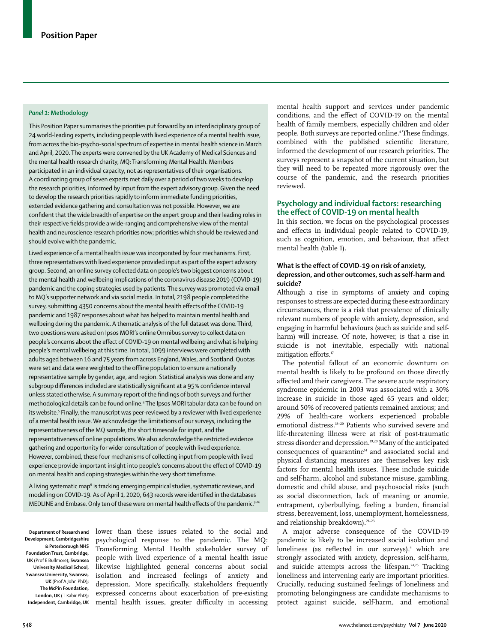# *Panel 1***: Methodology**

This Position Paper summarises the priorities put forward by an interdisciplinary group of 24 world-leading experts, including people with lived experience of a mental health issue, from across the bio-psycho-social spectrum of expertise in mental health science in March and April, 2020. The experts were convened by the UK Academy of Medical Sciences and the mental health research charity, MQ: Transforming Mental Health. Members participated in an individual capacity, not as representatives of their organisations. A coordinating group of seven experts met daily over a period of two weeks to develop the research priorities, informed by input from the expert advisory group. Given the need to develop the research priorities rapidly to inform immediate funding priorities, extended evidence gathering and consultation was not possible. However, we are confident that the wide breadth of expertise on the expert group and their leading roles in their respective fields provide a wide-ranging and comprehensive view of the mental health and neuroscience research priorities now; priorities which should be reviewed and should evolve with the pandemic.

Lived experience of a mental health issue was incorporated by four mechanisms. First, three representatives with lived experience provided input as part of the expert advisory group. Second, an online survey collected data on people's two biggest concerns about the mental health and wellbeing implications of the coronavirus disease 2019 (COVID-19) pandemic and the coping strategies used by patients. The survey was promoted via email to MQ's supporter network and via social media. In total, 2198 people completed the survey, submitting 4350 concerns about the mental health effects of the COVID-19 pandemic and 1987 responses about what has helped to maintain mental health and wellbeing during the pandemic. A thematic analysis of the full dataset was done. Third, two questions were asked on Ipsos MORI's online Omnibus survey to collect data on people's concerns about the effect of COVID-19 on mental wellbeing and what is helping people's mental wellbeing at this time. In total, 1099 interviews were completed with adults aged between 16 and 75 years from across England, Wales, and Scotland. Quotas were set and data were weighted to the offline population to ensure a nationally representative sample by gender, age, and region. Statistical analysis was done and any subgroup differences included are statistically significant at a 95% confidence interval unless stated otherwise. A summary report of the findings of both surveys and further methodological details can be found online.4 The Ipsos MORI tabular data can be found on its website.<sup>5</sup> Finally, the manuscript was peer-reviewed by a reviewer with lived experience of a mental health issue. We acknowledge the limitations of our surveys, including the representativeness of the MQ sample, the short timescale for input, and the representativeness of online populations. We also acknowledge the restricted evidence gathering and opportunity for wider consultation of people with lived experience. However, combined, these four mechanisms of collecting input from people with lived experience provide important insight into people's concerns about the effect of COVID-19 on mental health and coping strategies within the very short timeframe.

A living systematic map<sup>6</sup> is tracking emerging empirical studies, systematic reviews, and modelling on COVID-19. As of April 1, 2020, 643 records were identified in the databases MEDLINE and Embase. Only ten of these were on mental health effects of the pandemic.<sup>7-16</sup>

**Department of Research and Development, Cambridgeshire & Peterborough NHS Foundation Trust, Cambridge, UK** (Prof E Bullmore)**; Swansea University Medical School, Swansea University, Swansea, UK** (Prof A John PhD)**; The McPin Foundation, London, UK** (T Kabir PhD)**; Independent, Cambridge, UK** lower than these issues related to the social and psychological response to the pandemic. The MQ: Transforming Mental Health stakeholder survey of people with lived experience of a mental health issue likewise highlighted general concerns about social isolation and increased feelings of anxiety and depression. More specifically, stakeholders frequently expressed concerns about exacerbation of pre-existing mental health issues, greater difficulty in accessing

mental health support and services under pandemic conditions, and the effect of COVID-19 on the mental health of family members, especially children and older people. Both surveys are reported online.4 These findings, combined with the published scientific literature, informed the development of our research priorities. The surveys represent a snapshot of the current situation, but they will need to be repeated more rigorously over the course of the pandemic, and the research priorities reviewed.

# **Psychology and individual factors: researching the effect of COVID-19 on mental health**

In this section, we focus on the psychological processes and effects in individual people related to COVID-19, such as cognition, emotion, and behaviour, that affect mental health (table 1).

# **What is the effect of COVID-19 on risk of anxiety, depression, and other outcomes, such as self-harm and suicide?**

Although a rise in symptoms of anxiety and coping responses to stress are expected during these extraordinary circumstances, there is a risk that prevalence of clinically relevant numbers of people with anxiety, depression, and engaging in harmful behaviours (such as suicide and selfharm) will increase. Of note, however, is that a rise in suicide is not inevitable, especially with national mitigation efforts.<sup>17</sup>

The potential fallout of an economic downturn on mental health is likely to be profound on those directly affected and their caregivers. The severe acute respiratory syndrome epidemic in 2003 was associated with a 30% increase in suicide in those aged 65 years and older; around 50% of recovered patients remained anxious; and 29% of health-care workers experienced probable emotional distress.18–20 Patients who survived severe and life-threatening illness were at risk of post-traumatic stress disorder and depression.<sup>19,20</sup> Many of the anticipated consequences of quarantine<sup>14</sup> and associated social and physical distancing measures are themselves key risk factors for mental health issues. These include suicide and self-harm, alcohol and substance misuse, gambling, domestic and child abuse, and psychosocial risks (such as social disconnection, lack of meaning or anomie, entrapment, cyberbullying, feeling a burden, financial stress, bereavement, loss, unemployment, homelessness, and relationship breakdown).<sup>21-23</sup>

A major adverse consequence of the COVID-19 pandemic is likely to be increased social isolation and loneliness (as reflected in our surveys),<sup>4</sup> which are strongly associated with anxiety, depression, self-harm, and suicide attempts across the lifespan.<sup>24,25</sup> Tracking loneliness and intervening early are important priorities. Crucially, reducing sustained feelings of loneliness and promoting belongingness are candidate mechanisms to protect against suicide, self-harm, and emotional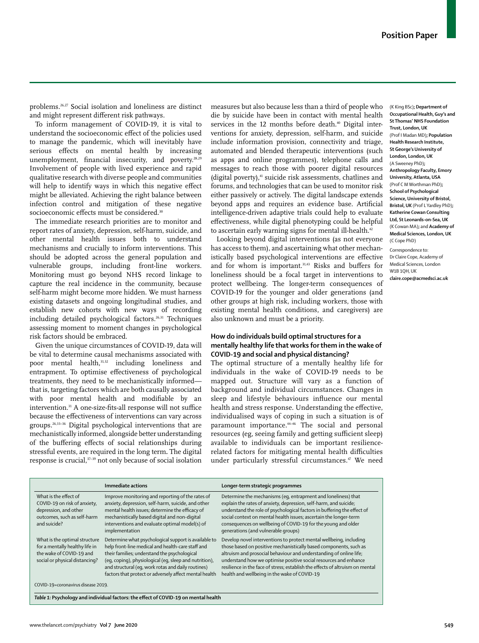problems.26,27 Social isolation and loneliness are distinct and might represent different risk pathways.

To inform management of COVID-19, it is vital to understand the socioeconomic effect of the policies used to manage the pandemic, which will inevitably have serious effects on mental health by increasing unemployment, financial insecurity, and poverty.<sup>28,29</sup> Involvement of people with lived experience and rapid qualitative research with diverse people and communities will help to identify ways in which this negative effect might be alleviated. Achieving the right balance between infection control and mitigation of these negative socioeconomic effects must be considered.<sup>30</sup>

The immediate research priorities are to monitor and report rates of anxiety, depression, self-harm, suicide, and other mental health issues both to understand mechanisms and crucially to inform interventions. This should be adopted across the general population and vulnerable groups, including front-line workers. Monitoring must go beyond NHS record linkage to capture the real incidence in the community, because self-harm might become more hidden. We must harness existing datasets and ongoing longitudinal studies, and establish new cohorts with new ways of recording including detailed psychological factors.<sup>26,31</sup> Techniques assessing moment to moment changes in psychological risk factors should be embraced.

Given the unique circumstances of COVID-19, data will be vital to determine causal mechanisms associated with poor mental health,<sup>31,32</sup> including loneliness and entrapment. To optimise effectiveness of psychological treatments, they need to be mechanistically informed that is, targeting factors which are both causally associated with poor mental health and modifiable by an intervention.<sup>31</sup> A one-size-fits-all response will not suffice because the effectiveness of interventions can vary across groups.26,33–36 Digital psychological interventions that are mechanistically informed, alongside better understanding of the buffering effects of social relationships during stressful events, are required in the long term**.** The digital response is crucial,<sup>37-39</sup> not only because of social isolation measures but also because less than a third of people who die by suicide have been in contact with mental health services in the 12 months before death.<sup>40</sup> Digital interventions for anxiety, depression, self-harm, and suicide include information provision, connectivity and triage, automated and blended therapeutic interventions (such as apps and online programmes), telephone calls and messages to reach those with poorer digital resources (digital poverty),<sup>41</sup> suicide risk assessments, chatlines and forums, and technologies that can be used to monitor risk either passively or actively. The digital landscape extends beyond apps and requires an evidence base. Artificial intelligence-driven adaptive trials could help to evaluate effectiveness, while digital phenotyping could be helpful to ascertain early warning signs for mental ill-health.<sup>42</sup>

Looking beyond digital interventions (as not everyone has access to them), and ascertaining what other mechanistically based psychological interventions are effective and for whom is important.<sup>31,43</sup> Risks and buffers for loneliness should be a focal target in interventions to protect wellbeing. The longer-term consequences of COVID-19 for the younger and older generations (and other groups at high risk, including workers, those with existing mental health conditions, and caregivers) are also unknown and must be a priority.

# **How do individuals build optimal structures for a mentally healthy life that works for them in the wake of COVID-19 and social and physical distancing?**

The optimal structure of a mentally healthy life for individuals in the wake of COVID-19 needs to be mapped out. Structure will vary as a function of background and individual circumstances. Changes in sleep and lifestyle behaviours influence our mental health and stress response. Understanding the effective, individualised ways of coping in such a situation is of paramount importance.<sup>4446</sup> The social and personal resources (eg, seeing family and getting sufficient sleep) available to individuals can be important resiliencerelated factors for mitigating mental health difficulties under particularly stressful circumstances.<sup>47</sup> We need

(K King BSc)**; Department of Occupational Health, Guy's and St Thomas' NHS Foundation Trust, London, UK**  (Prof I Madan MD)**; Population Health Research Institute, St George's University of London, London, UK** (A Sweeney PhD)**; Anthropology Faculty, Emory University, Atlanta, USA** (Prof C M Worthman PhD)**; School of Psychological Science, University of Bristol, Bristol, UK** (Prof L Yardley PhD)**; Katherine Cowan Consulting Ltd, St Leonards-on-Sea, UK** (K Cowan MA)**;** and **Academy of Medical Sciences, London, UK** (C Cope PhD)

Correspondence to: Dr Claire Cope, Academy of Medical Sciences, London W1R 10H, UK **claire.cope@acmedsci.ac.uk**

**Immediate actions Longer-term strategic programmes** What is the effect of COVID-19 on risk of anxiety, depression, and other outcomes, such as self-harm and suicide? Improve monitoring and reporting of the rates of anxiety, depression, self-harm, suicide, and other mental health issues; determine the efficacy of mechanistically based digital and non-digital interventions and evaluate optimal model(s) of implementation Determine the mechanisms (eg, entrapment and loneliness) that explain the rates of anxiety, depression, self-harm, and suicide; understand the role of psychological factors in buffering the effect of social context on mental health issues; ascertain the longer-term consequences on wellbeing of COVID-19 for the young and older generations (and vulnerable groups) What is the optimal structure for a mentally healthy life in the wake of COVID-19 and social or physical distancing? Determine what psychological support is available to help front-line medical and health-care staff and their families; understand the psychological (eg, coping), physiological (eg, sleep and nutrition), and structural (eg, work rotas and daily routines) factors that protect or adversely affect mental health Develop novel interventions to protect mental wellbeing, including those based on positive mechanistically based components, such as altruism and prosocial behaviour and understanding of online life; understand how we optimise positive social resources and enhance resilience in the face of stress; establish the effects of altruism on mental health and wellbeing in the wake of COVID-19 COVID-19=coronavirus disease 2019.

*Table 1:* **Psychology and individual factors: the effect of COVID-19 on mental health**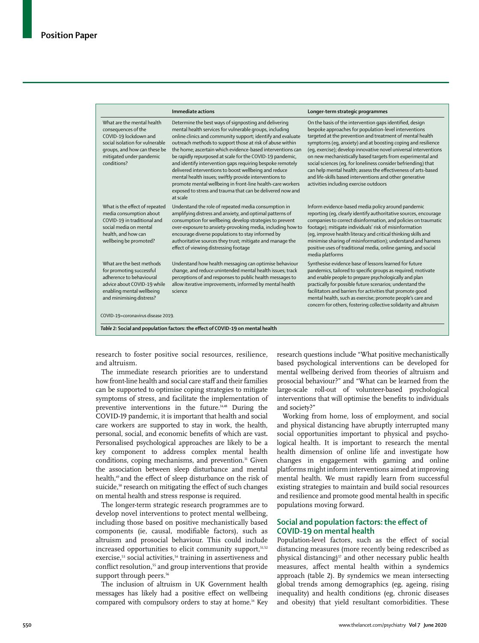|                                                                                                                                                                                          | Immediate actions                                                                                                                                                                                                                                                                                                                                                                                                                                                                                                                                                                                                                                                                               | Longer-term strategic programmes                                                                                                                                                                                                                                                                                                                                                                                                                                                                                                                                                                                           |
|------------------------------------------------------------------------------------------------------------------------------------------------------------------------------------------|-------------------------------------------------------------------------------------------------------------------------------------------------------------------------------------------------------------------------------------------------------------------------------------------------------------------------------------------------------------------------------------------------------------------------------------------------------------------------------------------------------------------------------------------------------------------------------------------------------------------------------------------------------------------------------------------------|----------------------------------------------------------------------------------------------------------------------------------------------------------------------------------------------------------------------------------------------------------------------------------------------------------------------------------------------------------------------------------------------------------------------------------------------------------------------------------------------------------------------------------------------------------------------------------------------------------------------------|
| What are the mental health<br>consequences of the<br>COVID-19 lockdown and<br>social isolation for vulnerable<br>groups, and how can these be<br>mitigated under pandemic<br>conditions? | Determine the best ways of signposting and delivering<br>mental health services for vulnerable groups, including<br>online clinics and community support; identify and evaluate<br>outreach methods to support those at risk of abuse within<br>the home: ascertain which evidence-based interventions can<br>be rapidly repurposed at scale for the COVID-19 pandemic,<br>and identify intervention gaps requiring bespoke remotely<br>delivered interventions to boost wellbeing and reduce<br>mental health issues; swiftly provide interventions to<br>promote mental wellbeing in front-line health-care workers<br>exposed to stress and trauma that can be delivered now and<br>at scale | On the basis of the intervention gaps identified, design<br>bespoke approaches for population-level interventions<br>targeted at the prevention and treatment of mental health<br>symptoms (eq, anxiety) and at boosting coping and resilience<br>(eq, exercise); develop innovative novel universal interventions<br>on new mechanistically based targets from experimental and<br>social sciences (eq, for loneliness consider befriending) that<br>can help mental health; assess the effectiveness of arts-based<br>and life-skills based interventions and other generative<br>activities including exercise outdoors |
| What is the effect of repeated<br>media consumption about<br>COVID-19 in traditional and<br>social media on mental<br>health, and how can<br>wellbeing be promoted?                      | Understand the role of repeated media consumption in<br>amplifying distress and anxiety, and optimal patterns of<br>consumption for wellbeing; develop strategies to prevent<br>over-exposure to anxiety-provoking media, including how to<br>encourage diverse populations to stay informed by<br>authoritative sources they trust; mitigate and manage the<br>effect of viewing distressing footage                                                                                                                                                                                                                                                                                           | Inform evidence-based media policy around pandemic<br>reporting (eg, clearly identify authoritative sources, encourage<br>companies to correct disinformation, and policies on traumatic<br>footage); mitigate individuals' risk of misinformation<br>(eq, improve health literacy and critical thinking skills and<br>minimise sharing of misinformation); understand and harness<br>positive uses of traditional media, online gaming, and social<br>media platforms                                                                                                                                                     |
| What are the best methods<br>for promoting successful<br>adherence to behavioural<br>advice about COVID-19 while<br>enabling mental wellbeing<br>and minimising distress?                | Understand how health messaging can optimise behaviour<br>change, and reduce unintended mental health issues; track<br>perceptions of and responses to public health messages to<br>allow iterative improvements, informed by mental health<br>science                                                                                                                                                                                                                                                                                                                                                                                                                                          | Synthesise evidence base of lessons learned for future<br>pandemics, tailored to specific groups as required; motivate<br>and enable people to prepare psychologically and plan<br>practically for possible future scenarios; understand the<br>facilitators and barriers for activities that promote good<br>mental health, such as exercise; promote people's care and<br>concern for others, fostering collective solidarity and altruism                                                                                                                                                                               |
| COVID-19=coronavirus disease 2019.                                                                                                                                                       |                                                                                                                                                                                                                                                                                                                                                                                                                                                                                                                                                                                                                                                                                                 |                                                                                                                                                                                                                                                                                                                                                                                                                                                                                                                                                                                                                            |

research to foster positive social resources, resilience, and altruism.

The immediate research priorities are to understand how front-line health and social care staff and their families can be supported to optimise coping strategies to mitigate symptoms of stress, and facilitate the implementation of preventive interventions in the future.14,48 During the COVID-19 pandemic, it is important that health and social care workers are supported to stay in work, the health, personal, social, and economic benefits of which are vast**.**  Personalised psychological approaches are likely to be a key component to address complex mental health conditions, coping mechanisms, and prevention.<sup>31</sup> Given the association between sleep disturbance and mental health,<sup>49</sup> and the effect of sleep disturbance on the risk of suicide,<sup>50</sup> research on mitigating the effect of such changes on mental health and stress response is required.

The longer-term strategic research programmes are to develop novel interventions to protect mental wellbeing, including those based on positive mechanistically based components (ie, causal, modifiable factors), such as altruism and prosocial behaviour. This could include increased opportunities to elicit community support.<sup>51,52</sup> exercise,<sup>53</sup> social activities,<sup>54</sup> training in assertiveness and conflict resolution,<sup>55</sup> and group interventions that provide support through peers.<sup>56</sup>

The inclusion of altruism in UK Government health messages has likely had a positive effect on wellbeing compared with compulsory orders to stay at home.14 Key research questions include "What positive mechanistically based psychological interventions can be developed for mental wellbeing derived from theories of altruism and prosocial behaviour?" and "What can be learned from the large-scale roll-out of volunteer-based psychological interventions that will optimise the benefits to individuals and society?"

Working from home, loss of employment, and social and physical distancing have abruptly interrupted many social opportunities important to physical and psychological health. It is important to research the mental health dimension of online life and investigate how changes in engagement with gaming and online platforms might inform interventions aimed at improving mental health. We must rapidly learn from successful existing strategies to maintain and build social resources and resilience and promote good mental health in specific populations moving forward.

# **Social and population factors: the effect of COVID-19 on mental health**

Population-level factors, such as the effect of social distancing measures (more recently being redescribed as physical distancing) $57$  and other necessary public health measures, affect mental health within a syndemics approach (table 2). By syndemics we mean intersecting global trends among demographics (eg, ageing, rising inequality) and health conditions (eg, chronic diseases and obesity) that yield resultant comorbidities. These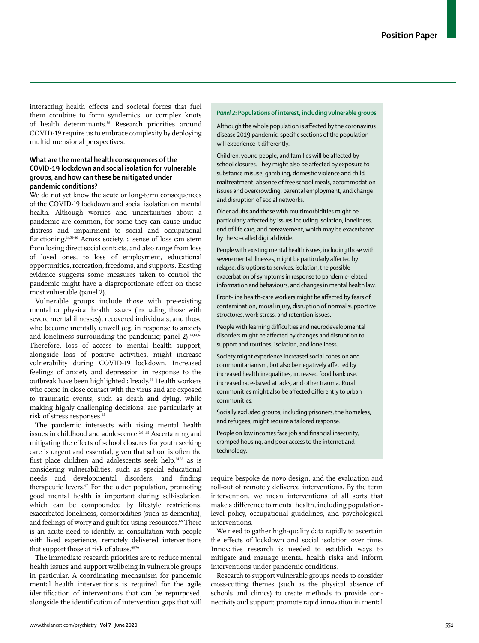interacting health effects and societal forces that fuel them combine to form syndemics, or complex knots of health determinants.<sup>58</sup> Research priorities around COVID-19 require us to embrace complexity by deploying multidimensional perspectives.

## **What are the mental health consequences of the COVID-19 lockdown and social isolation for vulnerable groups, and how can these be mitigated under pandemic conditions?**

We do not yet know the acute or long-term consequences of the COVID-19 lockdown and social isolation on mental health. Although worries and uncertainties about a pandemic are common, for some they can cause undue distress and impairment to social and occupational functioning.14,59,60 Across society, a sense of loss can stem from losing direct social contacts, and also range from loss of loved ones, to loss of employment, educational opportunities, recreation, freedoms, and supports. Existing evidence suggests some measures taken to control the pandemic might have a disproportionate effect on those most vulnerable (panel 2).

Vulnerable groups include those with pre-existing mental or physical health issues (including those with severe mental illnesses), recovered individuals, and those who become mentally unwell (eg, in response to anxiety and loneliness surrounding the pandemic; panel 2).<sup>14,61,62</sup> Therefore, loss of access to mental health support, alongside loss of positive activities, might increase vulnerability during COVID-19 lockdown. Increased feelings of anxiety and depression in response to the outbreak have been highlighted already.<sup>63</sup> Health workers who come in close contact with the virus and are exposed to traumatic events, such as death and dying, while making highly challenging decisions, are particularly at risk of stress responses.15

The pandemic intersects with rising mental health issues in childhood and adolescence.<sup>2,64,65</sup> Ascertaining and mitigating the effects of school closures for youth seeking care is urgent and essential, given that school is often the first place children and adolescents seek help,<sup>64,66</sup> as is considering vulnerabilities, such as special educational needs and developmental disorders, and finding therapeutic levers.<sup>67</sup> For the older population, promoting good mental health is important during self-isolation, which can be compounded by lifestyle restrictions, exacerbated loneliness, comorbidities (such as dementia), and feelings of worry and guilt for using resources.<sup>68</sup> There is an acute need to identify, in consultation with people with lived experience, remotely delivered interventions that support those at risk of abuse.<sup>69,70</sup>

The immediate research priorities are to reduce mental health issues and support wellbeing in vulnerable groups in particular. A coordinating mechanism for pandemic mental health interventions is required for the agile identification of interventions that can be repurposed, alongside the identification of intervention gaps that will

#### *Panel 2***: Populations of interest, including vulnerable groups**

Although the whole population is affected by the coronavirus disease 2019 pandemic, specific sections of the population will experience it differently.

Children, young people, and families will be affected by school closures. They might also be affected by exposure to substance misuse, gambling, domestic violence and child maltreatment, absence of free school meals, accommodation issues and overcrowding, parental employment, and change and disruption of social networks.

Older adults and those with multimorbidities might be particularly affected by issues including isolation, loneliness, end of life care, and bereavement, which may be exacerbated by the so-called digital divide.

People with existing mental health issues, including those with severe mental illnesses, might be particularly affected by relapse, disruptions to services, isolation, the possible exacerbation of symptoms in response to pandemic-related information and behaviours, and changes in mental health law.

Front-line health-care workers might be affected by fears of contamination, moral injury, disruption of normal supportive structures, work stress, and retention issues.

People with learning difficulties and neurodevelopmental disorders might be affected by changes and disruption to support and routines, isolation, and loneliness.

Society might experience increased social cohesion and communitarianism, but also be negatively affected by increased health inequalities, increased food bank use, increased race-based attacks, and other trauma. Rural communities might also be affected differently to urban communities.

Socially excluded groups, including prisoners, the homeless, and refugees, might require a tailored response.

People on low incomes face job and financial insecurity, cramped housing, and poor access to the internet and technology.

require bespoke de novo design, and the evaluation and roll-out of remotely delivered interventions. By the term intervention, we mean interventions of all sorts that make a difference to mental health, including populationlevel policy, occupational guidelines, and psychological interventions.

We need to gather high-quality data rapidly to ascertain the effects of lockdown and social isolation over time. Innovative research is needed to establish ways to mitigate and manage mental health risks and inform interventions under pandemic conditions.

Research to support vulnerable groups needs to consider cross-cutting themes (such as the physical absence of schools and clinics) to create methods to provide connectivity and support; promote rapid innovation in mental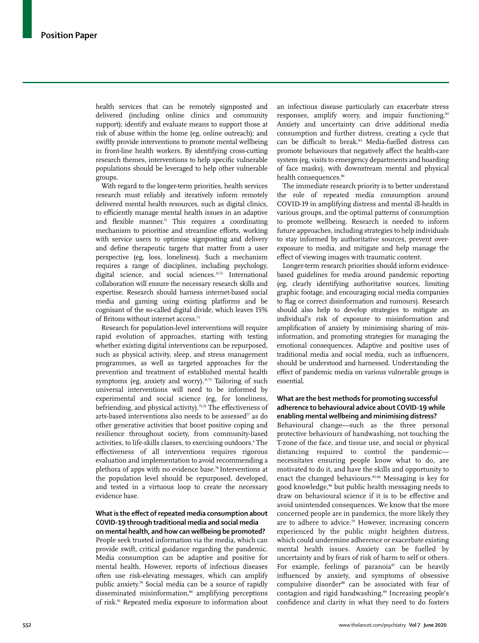health services that can be remotely signposted and delivered (including online clinics and community support); identify and evaluate means to support those at risk of abuse within the home (eg, online outreach); and swiftly provide interventions to promote mental wellbeing in front-line health workers**.** By identifying cross-cutting research themes, interventions to help specific vulnerable populations should be leveraged to help other vulnerable groups.

With regard to the longer-term priorities, health services research must reliably and iteratively inform remotely delivered mental health resources, such as digital clinics, to efficiently manage mental health issues in an adaptive and flexible manner.<sup>71</sup> This requires a coordinating mechanism to prioritise and streamline efforts, working with service users to optimise signposting and delivery and define therapeutic targets that matter from a user perspective (eg, loss, loneliness). Such a mechanism requires a range of disciplines, including psychology, digital science, and social sciences.<sup>31,72</sup> International collaboration will ensure the necessary research skills and expertise. Research should harness internet-based social media and gaming using existing platforms and be cognisant of the so-called digital divide, which leaves 15% of Britons without internet access.<sup>73</sup>

Research for population-level interventions will require rapid evolution of approaches, starting with testing whether existing digital interventions can be repurposed, such as physical activity, sleep, and stress management programmes, as well as targeted approaches for the prevention and treatment of established mental health symptoms (eg, anxiety and worry). $31,74$  Tailoring of such universal interventions will need to be informed by experimental and social science (eg, for loneliness, befriending, and physical activity).<sup>75,76</sup> The effectiveness of arts-based interventions also needs to be assessed $\frac{7}{2}$  as do other generative activities that boost positive coping and resilience throughout society, from community-based activities, to life-skills classes, to exercising outdoors.4 The effectiveness of all interventions requires rigorous evaluation and implementation to avoid recommending a plethora of apps with no evidence base.78 Interventions at the population level should be repurposed, developed, and tested in a virtuous loop to create the necessary evidence base.

# **What is the effect of repeated media consumption about COVID-19 through traditional media and social media on mental health, and how can wellbeing be promoted?**

People seek trusted information via the media, which can provide swift, critical guidance regarding the pandemic. Media consumption can be adaptive and positive for mental health. However, reports of infectious diseases often use risk-elevating messages, which can amplify public anxiety.79 Social media can be a source of rapidly disseminated misinformation,<sup>80</sup> amplifying perceptions of risk.81 Repeated media exposure to information about an infectious disease particularly can exacerbate stress responses, amplify worry, and impair functioning.<sup>82</sup> Anxiety and uncertainty can drive additional media consumption and further distress, creating a cycle that can be difficult to break.<sup>83</sup> Media-fuelled distress can promote behaviours that negatively affect the health-care system (eg, visits to emergency departments and hoarding of face masks), with downstream mental and physical health consequences.<sup>84</sup>

The immediate research priority is to better understand the role of repeated media consumption around COVID-19 in amplifying distress and mental ill-health in various groups, and the optimal patterns of consumption to promote wellbeing. Research is needed to inform future approaches, including strategies to help individuals to stay informed by authoritative sources, prevent overexposure to media, and mitigate and help manage the effect of viewing images with traumatic content.

Longer-term research priorities should inform evidencebased guidelines for media around pandemic reporting (eg, clearly identifying authoritative sources, limiting graphic footage, and encouraging social media companies to flag or correct disinformation and rumours). Research should also help to develop strategies to mitigate an individual's risk of exposure to misinformation and amplification of anxiety by minimising sharing of misinformation, and promoting strategies for managing the emotional consequences. Adaptive and positive uses of traditional media and social media, such as influencers, should be understood and harnessed. Understanding the effect of pandemic media on various vulnerable groups is essential.

# **What are the best methods for promoting successful adherence to behavioural advice about COVID-19 while enabling mental wellbeing and minimising distress?**

Behavioural change—such as the three personal protective behaviours of handwashing, not touching the T-zone of the face, and tissue use, and social or physical distancing required to control the pandemic necessitates ensuring people know what to do, are motivated to do it, and have the skills and opportunity to enact the changed behaviours.<sup>85,86</sup> Messaging is key for good knowledge,86 but public health messaging needs to draw on behavioural science if it is to be effective and avoid unintended consequences. We know that the more concerned people are in pandemics, the more likely they are to adhere to advice.<sup>59</sup> However, increasing concern experienced by the public might heighten distress, which could undermine adherence or exacerbate existing mental health issues. Anxiety can be fuelled by uncertainty and by fears of risk of harm to self or others. For example, feelings of paranoia<sup>87</sup> can be heavily influenced by anxiety, and symptoms of obsessive compulsive disorder<sup>88</sup> can be associated with fear of contagion and rigid handwashing.<sup>89</sup> Increasing people's confidence and clarity in what they need to do fosters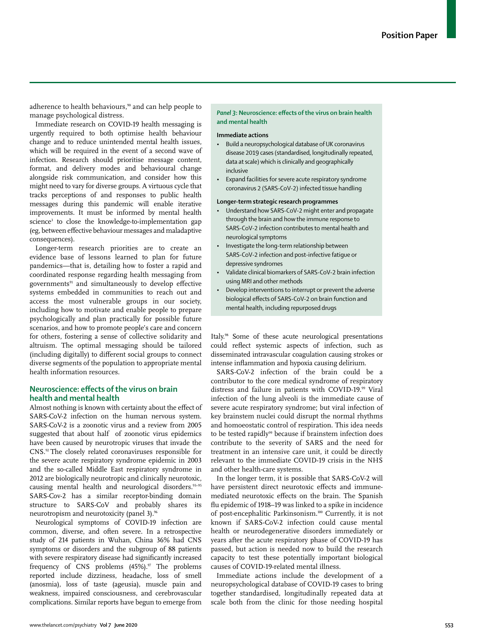adherence to health behaviours,<sup>90</sup> and can help people to manage psychological distress.

Immediate research on COVID-19 health messaging is urgently required to both optimise health behaviour change and to reduce unintended mental health issues, which will be required in the event of a second wave of infection. Research should prioritise message content, format, and delivery modes and behavioural change alongside risk communication, and consider how this might need to vary for diverse groups. A virtuous cycle that tracks perceptions of and responses to public health messages during this pandemic will enable iterative improvements. It must be informed by mental health science3 to close the knowledge-to-implementation gap (eg, between effective behaviour messages and maladaptive consequences).

Longer-term research priorities are to create an evidence base of lessons learned to plan for future pandemics—that is, detailing how to foster a rapid and coordinated response regarding health messaging from governments91 and simultaneously to develop effective systems embedded in communities to reach out and access the most vulnerable groups in our society, including how to motivate and enable people to prepare psychologically and plan practically for possible future scenarios, and how to promote people's care and concern for others, fostering a sense of collective solidarity and altruism. The optimal messaging should be tailored (including digitally) to different social groups to connect diverse segments of the population to appropriate mental health information resources.

# **Neuroscience: effects of the virus on brain health and mental health**

Almost nothing is known with certainty about the effect of SARS-CoV-2 infection on the human nervous system. SARS-CoV-2 is a zoonotic virus and a review from 2005 suggested that about half of zoonotic virus epidemics have been caused by neurotropic viruses that invade the CNS.92 The closely related coronaviruses responsible for the severe acute respiratory syndrome epidemic in 2003 and the so-called Middle East respiratory syndrome in 2012 are biologically neurotropic and clinically neurotoxic. causing mental health and neurological disorders.<sup>93-95</sup> SARS-Cov-2 has a similar receptor-binding domain structure to SARS-CoV and probably shares its neurotropism and neurotoxicity (panel 3).<sup>96</sup>

Neurological symptoms of COVID-19 infection are common, diverse, and often severe. In a retrospective study of 214 patients in Wuhan, China 36% had CNS symptoms or disorders and the subgroup of 88 patients with severe respiratory disease had significantly increased frequency of  $\overline{C}$ NS problems (45%).<sup>97</sup> The problems reported include dizziness, headache, loss of smell (anosmia), loss of taste (ageusia), muscle pain and weakness, impaired consciousness, and cerebrovascular complications. Similar reports have begun to emerge from

# *Panel 3***: Neuroscience: effects of the virus on brain health and mental health**

#### **Immediate actions**

- Build a neuropsychological database of UK coronavirus disease 2019 cases (standardised, longitudinally repeated, data at scale) which is clinically and geographically inclusive
- Expand facilities for severe acute respiratory syndrome coronavirus 2 (SARS-CoV-2) infected tissue handling

## **Longer-term strategic research programmes**

- Understand how SARS-CoV-2 might enter and propagate through the brain and how the immune response to SARS-CoV-2 infection contributes to mental health and neurological symptoms
- Investigate the long-term relationship between SARS-CoV-2 infection and post-infective fatigue or depressive syndromes
- Validate clinical biomarkers of SARS-CoV-2 brain infection using MRI and other methods
- Develop interventions to interrupt or prevent the adverse biological effects of SARS-CoV-2 on brain function and mental health, including repurposed drugs

Italy.98 Some of these acute neurological presentations could reflect systemic aspects of infection, such as disseminated intravascular coagulation causing strokes or intense inflammation and hypoxia causing delirium.

SARS-CoV-2 infection of the brain could be a contributor to the core medical syndrome of respiratory distress and failure in patients with COVID-19.99 Viral infection of the lung alveoli is the immediate cause of severe acute respiratory syndrome; but viral infection of key brainstem nuclei could disrupt the normal rhythms and homoeostatic control of respiration. This idea needs to be tested rapidly<sup>99</sup> because if brainstem infection does contribute to the severity of SARS and the need for treatment in an intensive care unit, it could be directly relevant to the immediate COVID-19 crisis in the NHS and other health-care systems.

In the longer term, it is possible that SARS-CoV-2 will have persistent direct neurotoxic effects and immunemediated neurotoxic effects on the brain. The Spanish flu epidemic of 1918–19 was linked to a spike in incidence of post-encephalitic Parkinsonism.100 Currently, it is not known if SARS-CoV-2 infection could cause mental health or neurodegenerative disorders immediately or years after the acute respiratory phase of COVID-19 has passed, but action is needed now to build the research capacity to test these potentially important biological causes of COVID-19-related mental illness.

Immediate actions include the development of a neuropsychological database of COVID-19 cases to bring together standardised, longitudinally repeated data at scale both from the clinic for those needing hospital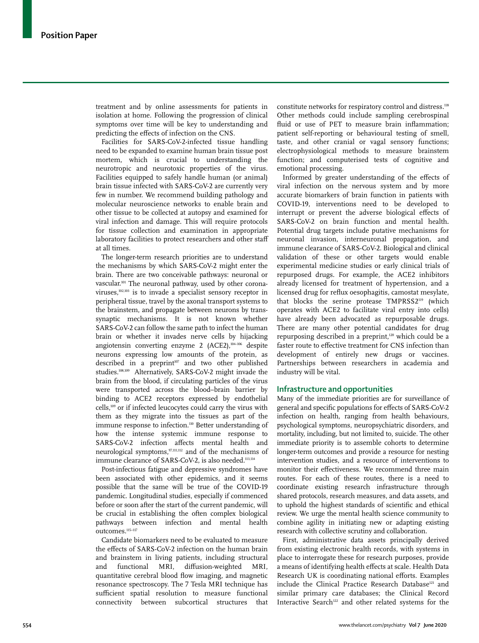treatment and by online assessments for patients in isolation at home. Following the progression of clinical symptoms over time will be key to understanding and predicting the effects of infection on the CNS.

Facilities for SARS-CoV-2-infected tissue handling need to be expanded to examine human brain tissue post mortem, which is crucial to understanding the neurotropic and neurotoxic properties of the virus. Facilities equipped to safely handle human (or animal) brain tissue infected with SARS-CoV-2 are currently very few in number. We recommend building pathology and molecular neuroscience networks to enable brain and other tissue to be collected at autopsy and examined for viral infection and damage. This will require protocols for tissue collection and examination in appropriate laboratory facilities to protect researchers and other staff at all times.

The longer-term research priorities are to understand the mechanisms by which SARS-CoV-2 might enter the brain. There are two conceivable pathways: neuronal or vascular.101 The neuronal pathway, used by other coronaviruses,<sup>102,103</sup> is to invade a specialist sensory receptor in peripheral tissue, travel by the axonal transport systems to the brainstem, and propagate between neurons by transsynaptic mechanisms. It is not known whether SARS-CoV-2 can follow the same path to infect the human brain or whether it invades nerve cells by hijacking angiotensin converting enzyme 2 (ACE2),<sup>104-106</sup> despite neurons expressing low amounts of the protein, as described in a preprint<sup>107</sup> and two other published studies.108,109 Alternatively, SARS-CoV-2 might invade the brain from the blood, if circulating particles of the virus were transported across the blood–brain barrier by binding to ACE2 receptors expressed by endothelial cells,109 or if infected leucocytes could carry the virus with them as they migrate into the tissues as part of the immune response to infection.<sup>110</sup> Better understanding of how the intense systemic immune response to SARS-CoV-2 infection affects mental health and neurological symptoms,97,111,112 and of the mechanisms of immune clearance of SARS-CoV-2, is also needed.<sup>113,114</sup>

Post-infectious fatigue and depressive syndromes have been associated with other epidemics, and it seems possible that the same will be true of the COVID-19 pandemic. Longitudinal studies, especially if commenced before or soon after the start of the current pandemic, will be crucial in establishing the often complex biological pathways between infection and mental health outcomes.115–117

Candidate biomarkers need to be evaluated to measure the effects of SARS-CoV-2 infection on the human brain and brainstem in living patients, including structural and functional MRI, diffusion-weighted MRI, quantitative cerebral blood flow imaging, and magnetic resonance spectroscopy. The 7 Tesla MRI technique has sufficient spatial resolution to measure functional connectivity between subcortical structures that constitute networks for respiratory control and distress.<sup>118</sup> Other methods could include sampling cerebrospinal fluid or use of PET to measure brain inflammation; patient self-reporting or behavioural testing of smell, taste, and other cranial or vagal sensory functions; electrophysiological methods to measure brainstem function; and computerised tests of cognitive and emotional processing.

Informed by greater understanding of the effects of viral infection on the nervous system and by more accurate biomarkers of brain function in patients with COVID-19, interventions need to be developed to interrupt or prevent the adverse biological effects of SARS-CoV-2 on brain function and mental health**.** Potential drug targets include putative mechanisms for neuronal invasion, interneuronal propagation, and immune clearance of SARS-CoV-2. Biological and clinical validation of these or other targets would enable experimental medicine studies or early clinical trials of repurposed drugs. For example, the ACE2 inhibitors already licensed for treatment of hypertension, and a licensed drug for reflux oesophagitis, camostat mesylate, that blocks the serine protease TMPRSS2<sup>119</sup> (which operates with ACE2 to facilitate viral entry into cells) have already been advocated as repurposable drugs. There are many other potential candidates for drug repurposing described in a preprint,<sup>120</sup> which could be a faster route to effective treatment for CNS infection than development of entirely new drugs or vaccines. Partnerships between researchers in academia and industry will be vital.

## **Infrastructure and opportunities**

Many of the immediate priorities are for surveillance of general and specific populations for effects of SARS-CoV-2 infection on health, ranging from health behaviours, psychological symptoms, neuropsychiatric disorders, and mortality, including, but not limited to, suicide. The other immediate priority is to assemble cohorts to determine longer-term outcomes and provide a resource for nesting intervention studies, and a resource of interventions to monitor their effectiveness. We recommend three main routes. For each of these routes, there is a need to coordinate existing research infrastructure through shared protocols, research measures, and data assets, and to uphold the highest standards of scientific and ethical review. We urge the mental health science community to combine agility in initiating new or adapting existing research with collective scrutiny and collaboration.

First, administrative data assets principally derived from existing electronic health records, with systems in place to interrogate these for research purposes, provide a means of identifying health effects at scale. Health Data Research UK is coordinating national efforts. Examples include the Clinical Practice Research Database<sup>121</sup> and similar primary care databases; the Clinical Record Interactive Search<sup>122</sup> and other related systems for the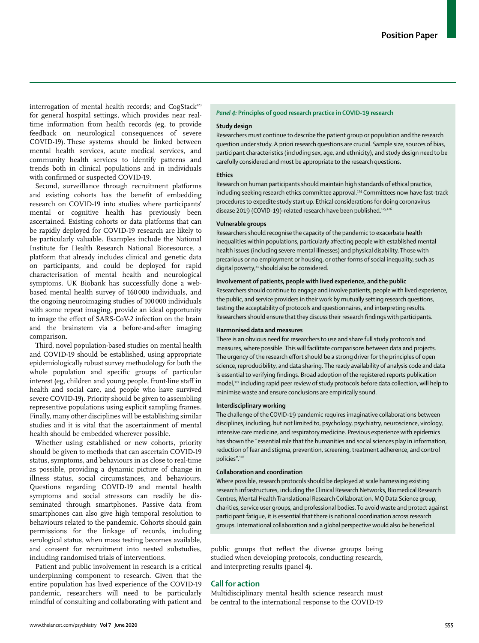interrogation of mental health records; and CogStack<sup>123</sup> for general hospital settings, which provides near realtime information from health records (eg, to provide feedback on neurological consequences of severe COVID-19). These systems should be linked between mental health services, acute medical services, and community health services to identify patterns and trends both in clinical populations and in individuals with confirmed or suspected COVID-19.

Second, surveillance through recruitment platforms and existing cohorts has the benefit of embedding research on COVID-19 into studies where participants' mental or cognitive health has previously been ascertained. Existing cohorts or data platforms that can be rapidly deployed for COVID-19 research are likely to be particularly valuable. Examples include the National Institute for Health Research National Bioresource, a platform that already includes clinical and genetic data on participants, and could be deployed for rapid characterisation of mental health and neurological symptoms. UK Biobank has successfully done a webbased mental health survey of 160 000 individuals, and the ongoing neuroimaging studies of 100000 individuals with some repeat imaging, provide an ideal opportunity to image the effect of SARS-CoV-2 infection on the brain and the brainstem via a before-and-after imaging comparison.

Third, novel population-based studies on mental health and COVID-19 should be established, using appropriate epidemiologically robust survey methodology for both the whole population and specific groups of particular interest (eg, children and young people, front-line staff in health and social care, and people who have survived severe COVID-19). Priority should be given to assembling representive populations using explicit sampling frames. Finally, many other disciplines will be establishing similar studies and it is vital that the ascertainment of mental health should be embedded wherever possible.

Whether using established or new cohorts, priority should be given to methods that can ascertain COVID-19 status, symptoms, and behaviours in as close to real-time as possible, providing a dynamic picture of change in illness status, social circumstances, and behaviours. Questions regarding COVID-19 and mental health symptoms and social stressors can readily be disseminated through smartphones. Passive data from smartphones can also give high temporal resolution to behaviours related to the pandemic. Cohorts should gain permissions for the linkage of records, including serological status, when mass testing becomes available, and consent for recruitment into nested substudies, including randomised trials of interventions.

Patient and public involvement in research is a critical underpinning component to research. Given that the entire population has lived experience of the COVID-19 pandemic, researchers will need to be particularly mindful of consulting and collaborating with patient and

#### *Panel 4:* **Principles of good research practice in COVID-19 research**

### **Study design**

Researchers must continue to describe the patient group or population and the research question under study. A priori research questions are crucial. Sample size, sources of bias, participant characteristics (including sex, age, and ethnicity), and study design need to be carefully considered and must be appropriate to the research questions.

#### **Ethics**

Research on human participants should maintain high standards of ethical practice, including seeking research ethics committee approval.<sup>124</sup> Committees now have fast-track procedures to expedite study start up. Ethical considerations for doing coronavirus disease 2019 (COVID-19)-related research have been published.125,126

#### **Vulnerable groups**

Researchers should recognise the capacity of the pandemic to exacerbate health inequalities within populations, particularly affecting people with established mental health issues (including severe mental illnesses) and physical disability. Those with precarious or no employment or housing, or other forms of social inequality, such as digital poverty,<sup>41</sup> should also be considered.

#### **Involvement of patients, people with lived experience, and the public**

Researchers should continue to engage and involve patients, people with lived experience, the public, and service providers in their work by mutually setting research questions, testing the acceptability of protocols and questionnaires, and interpreting results. Researchers should ensure that they discuss their research findings with participants.

#### **Harmonised data and measures**

There is an obvious need for researchers to use and share full study protocols and measures, where possible. This will facilitate comparisons between data and projects. The urgency of the research effort should be a strong driver for the principles of open science, reproducibility, and data sharing. The ready availability of analysis code and data is essential to verifying findings. Broad adoption of the registered reports publication model,<sup>127</sup> including rapid peer review of study protocols before data collection, will help to minimise waste and ensure conclusions are empirically sound.

#### **Interdisciplinary working**

The challenge of the COVID-19 pandemic requires imaginative collaborations between disciplines, including, but not limited to, psychology, psychiatry, neuroscience, virology, intensive care medicine, and respiratory medicine. Previous experience with epidemics has shown the "essential role that the humanities and social sciences play in information, reduction of fear and stigma, prevention, screening, treatment adherence, and control policies".128

#### **Collaboration and coordination**

Where possible, research protocols should be deployed at scale harnessing existing research infrastructures, including the Clinical Research Networks, Biomedical Research Centres, Mental Health Translational Research Collaboration, MQ Data Science group, charities, service user groups, and professional bodies. To avoid waste and protect against participant fatigue, it is essential that there is national coordination across research groups. International collaboration and a global perspective would also be beneficial.

public groups that reflect the diverse groups being studied when developing protocols, conducting research, and interpreting results (panel 4).

# **Call for action**

Multidisciplinary mental health science research must be central to the international response to the COVID-19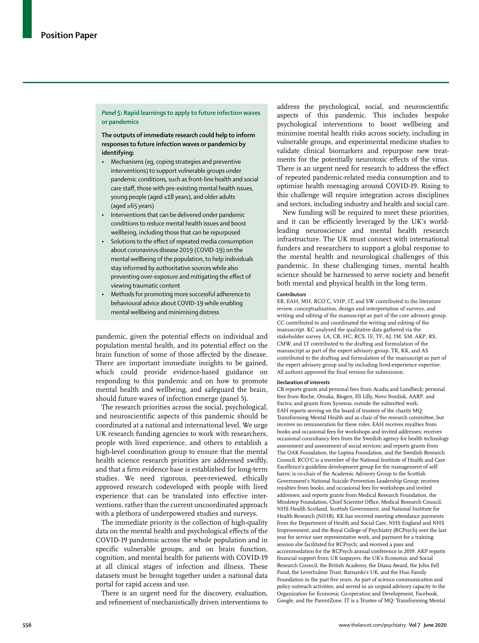## *Panel 5***: Rapid learnings to apply to future infection waves or pandemics**

## **The outputs of immediate research could help to inform responses to future infection waves or pandemics by identifying:**

- Mechanisms (eg, coping strategies and preventive interventions) to support vulnerable groups under pandemic conditions, such as front-line health and social care staff, those with pre-existing mental health issues, young people (aged ≤18 years), and older adults (aged ≥65 years)
- Interventions that can be delivered under pandemic conditions to reduce mental health issues and boost wellbeing, including those that can be repurposed
- Solutions to the effect of repeated media consumption about coronavirus disease 2019 (COVID-19) on the mental wellbeing of the population, to help individuals stay informed by authoritative sources while also preventing over-exposure and mitigating the effect of viewing traumatic content
- Methods for promoting more successful adherence to behavioural advice about COVID-19 while enabling mental wellbeing and minimising distress

pandemic, given the potential effects on individual and population mental health, and its potential effect on the brain function of some of those affected by the disease. There are important immediate insights to be gained, which could provide evidence-based guidance on responding to this pandemic and on how to promote mental health and wellbeing, and safeguard the brain, should future waves of infection emerge (panel 5).

The research priorities across the social, psychological, and neuroscientific aspects of this pandemic should be coordinated at a national and international level. We urge UK research funding agencies to work with researchers, people with lived experience, and others to establish a high-level coordination group to ensure that the mental health science research priorities are addressed swiftly, and that a firm evidence base is established for long-term studies. We need rigorous, peer-reviewed, ethically approved research codeveloped with people with lived experience that can be translated into effective interventions, rather than the current uncoordinated approach with a plethora of underpowered studies and surveys.

The immediate priority is the collection of high-quality data on the mental health and psychological effects of the COVID-19 pandemic across the whole population and in specific vulnerable groups, and on brain function, cognition, and mental health for patients with COVID-19 at all clinical stages of infection and illness. These datasets must be brought together under a national data portal for rapid access and use.

There is an urgent need for the discovery, evaluation, and refinement of mechanistically driven interventions to address the psychological, social, and neuroscientific aspects of this pandemic. This includes bespoke psychological interventions to boost wellbeing and minimise mental health risks across society, including in vulnerable groups, and experimental medicine studies to validate clinical biomarkers and repurpose new treatments for the potentially neurotoxic effects of the virus. There is an urgent need for research to address the effect of repeated pandemic-related media consumption and to optimise health messaging around COVID-19. Rising to this challenge will require integration across disciplines and sectors, including industry and health and social care.

New funding will be required to meet these priorities, and it can be efficiently leveraged by the UK's worldleading neuroscience and mental health research infrastructure. The UK must connect with international funders and researchers to support a global response to the mental health and neurological challenges of this pandemic. In these challenging times, mental health science should be harnessed to serve society and benefit both mental and physical health in the long term.

#### **Contributors**

EB, EAH, MH, RCO'C, VHP, IT, and SW contributed to the literature review, conceptualisation, design and interpretation of surveys, and writing and editing of the manuscript as part of the core advisory group. CC contributed to and coordinated the writing and editing of the manuscript. KC analysed the qualitative data gathered via the stakeholder survey. LA, CB, HC, RCS, IE, TF, AJ, IM, SM, AKP, RS, CMW, and LY contributed to the drafting and formulation of the manuscript as part of the expert advisory group. TK, KK, and AS contributed to the drafting and formulation of the manuscript as part of the expert advisory group and by including lived-experience expertise. All authors approved the final version for submission.

#### **Declaration of interests**

CB reports grants and personal fees from Acadia and Lundbeck; personal fees from Roche, Otsuka, Biogen, Eli Lilly, Novo Nordisk, AARP, and Exciva; and grants from Synexus, outside the submitted work. EAH reports serving on the board of trustees of the charity MQ: Transforming Mental Health and as chair of the research committee, but receives no remuneration for these roles. EAH receives royalties from books and occasional fees for workshops and invited addresses; receives occasional consultancy fees from the Swedish agency for health technology assessment and assessment of social services; and reports grants from The OAK Foundation, the Lupina Foundation, and the Swedish Research Council. RCO'C is a member of the National Institute of Health and Care Excellence's guideline development group for the management of selfharm; is co-chair of the Academic Advisory Group to the Scottish Government's National Suicide Prevention Leadership Group; receives royalties from books, and occasional fees for workshops and invited addresses; and reports grants from Medical Research Foundation, the Mindstep Foundation, Chief Scientist Office, Medical Research Council, NHS Health Scotland, Scottish Government, and National Institute for Health Research (NIHR). KK has received meeting attendance payments from the Department of Health and Social Care, NHS England and NHS Improvement, and the Royal College of Psychiatry (RCPsych) over the last year for service user representative work, and payment for a training session she facilitated for RCPsych; and received a pass and accommodation for the RCPsych annual conference in 2019. AKP reports financial support from UK taxpayers, the UK's Economic and Social Research Council, the British Academy, the Diana Award, the John Fell Fund, the Leverhulme Trust, Barnardo's UK, and the Huo Family Foundation in the past five years. As part of science communication and policy outreach activities; and served in an unpaid advisory capacity to the Organization for Economic Co-operation and Development, Facebook, Google, and the ParentZone. IT is a Trustee of MQ: Transforming Mental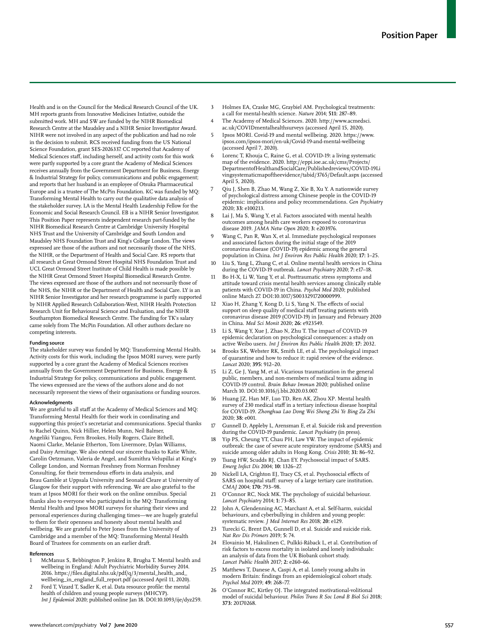Health and is on the Council for the Medical Research Council of the UK. MH reports grants from Innovative Medicines Intiative, outside the submitted work. MH and SW are funded by the NIHR Biomedical Research Centre at the Maudsley and a NIHR Senior Investigator Award. NIHR were not involved in any aspect of the publication and had no role in the decision to submit. RCS received funding from the US National Science Foundation, grant SES-2026337. CC reported that Academy of Medical Sciences staff, including herself, and activity costs for this work were partly supported by a core grant the Academy of Medical Sciences receives annually from the Government Department for Business, Energy & Industrial Strategy for policy, communications and public engagement; and reports that her husband is an employee of Otsuka Pharmaceutical Europe and is a trustee of The McPin Foundation. KC was funded by MQ: Transforming Mental Health to carry out the qualitative data analysis of the stakeholder survey. LA is the Mental Health Leadership Fellow for the Economic and Social Research Council. EB is a NIHR Senior Investigator. This Position Paper represents independent research part-funded by the NIHR Biomedical Research Centre at Cambridge University Hospital NHS Trust and the University of Cambridge and South London and Maudsley NHS Foundation Trust and King's College London. The views expressed are those of the authors and not necessarily those of the NHS, the NIHR, or the Department of Health and Social Care. RS reports that all research at Great Ormond Street Hospital NHS Foundation Trust and UCL Great Ormond Street Institute of Child Health is made possible by the NIHR Great Ormond Street Hospital Biomedical Research Centre. The views expressed are those of the authors and not necessarily those of the NHS, the NIHR or the Department of Health and Social Care. LY is an NIHR Senior Investigator and her research programme is partly supported by NIHR Applied Research Collaboration-West, NIHR Health Protection Research Unit for Behavioural Science and Evaluation, and the NIHR Southampton Biomedical Research Centre. The funding for TK's salary came solely from The McPin Foundation. All other authors declare no competing interests.

#### **Funding source**

The stakeholder survey was funded by MQ: Transforming Mental Health. Activity costs for this work, including the Ipsos MORI survey, were partly supported by a core grant the Academy of Medical Sciences receives annually from the Government Department for Business, Energy & Industrial Strategy for policy, communications and public engagement. The views expressed are the views of the authors alone and do not necessarily represent the views of their organisations or funding sources.

#### **Acknowledgments**

We are grateful to all staff at the Academy of Medical Sciences and MQ: Transforming Mental Health for their work in coordinating and supporting this project's secretariat and communications. Special thanks to Rachel Quinn, Nick Hillier, Helen Munn, Neil Balmer, Angeliki Yiangou, Fern Brookes, Holly Rogers, Claire Bithell, Naomi Clarke, Melanie Etherton, Tom Livermore, Dylan Williams, and Daisy Armitage. We also extend our sincere thanks to Katie White, Carolin Oetzmann, Valeria de Angel, and Sumithra Velupillai at King's College London, and Norman Freshney from Norman Freshney Consulting, for their tremendous efforts in data analysis, and Beau Gamble at Uppsala University and Seonaid Cleare at University of Glasgow for their support with referencing. We are also grateful to the team at Ipsos MORI for their work on the online omnibus. Special thanks also to everyone who participated in the MQ: Transforming Mental Health and Ipsos MORI surveys for sharing their views and personal experiences during challenging times—we are hugely grateful to them for their openness and honesty about mental health and wellbeing. We are grateful to Peter Jones from the University of Cambridge and a member of the MQ: Transforming Mental Health Board of Trustees for comments on an earlier draft.

#### **References**

- 1 McManus S, Bebbington P, Jenkins R, Brugha T. Mental health and wellbeing in England: Adult Psychiatric Morbidity Survey 2014. 2016. https://files.digital.nhs.uk/pdf/q/3/mental\_health\_and\_ wellbeing\_in\_england\_full\_report.pdf (accessed April 11, 2020).
- 2 Ford T, Vizard T, Sadler K, et al. Data resource profile: the mental health of children and young people surveys (MHCYP). *Int J Epidemiol* 2020; published online Jan 18. DOI:10.1093/ije/dyz259.
- 3 Holmes EA, Craske MG, Graybiel AM. Psychological treatments: a call for mental-health science. *Nature* 2014; **511:** 287–89.
- 4 The Academy of Medical Sciences. 2020. http://www.acmedsci. ac.uk/COVIDmentalhealthsurveys (accessed April 15, 2020).
- 5 Ipsos MORI. Covid-19 and mental wellbeing. 2020. https://www. ipsos.com/ipsos-mori/en-uk/Covid-19-and-mental-wellbeing (accessed April 7, 2020).
- Lorenc T, Khouja C, Raine G, et al. COVID-19: a living systematic map of the evidence. 2020. http://eppi.ioe.ac.uk/cms/Projects/ DepartmentofHealthandSocialCare/Publishedreviews/COVID-19Li vingsystematicmapoftheevidence/tabid/3765/Default.aspx (accessed April 5, 2020).
- 7 Qiu J, Shen B, Zhao M, Wang Z, Xie B, Xu Y. A nationwide survey of psychological distress among Chinese people in the COVID-19 epidemic: implications and policy recommendations. *Gen Psychiatry* 2020; **33:** e100213.
- 8 Lai J, Ma S, Wang Y, et al. Factors associated with mental health outcomes among health care workers exposed to coronavirus disease 2019. *JAMA Netw Open* 2020; **3:** e203976.
- Wang C, Pan R, Wan X, et al. Immediate psychological responses and associated factors during the initial stage of the 2019 coronavirus disease (COVID-19) epidemic among the general population in China. *Int J Environ Res Public Health* 2020; **17:** 1–25.
- 10 Liu S, Yang L, Zhang C, et al. Online mental health services in China during the COVID-19 outbreak. *Lancet Psychiatry* 2020; **7:** e17–18.
- 11 Bo H-X, Li W, Yang Y, et al. Posttraumatic stress symptoms and attitude toward crisis mental health services among clinically stable patients with COVID-19 in China. *Psychol Med* 2020; published online March 27. DOI:10.1017/S0033291720000999.
- Xiao H, Zhang Y, Kong D, Li S, Yang N. The effects of social support on sleep quality of medical staff treating patients with coronavirus disease 2019 (COVID-19) in January and February 2020 in China. *Med Sci Monit* 2020; **26:** e923549.
- 13 Li S, Wang Y, Xue J, Zhao N, Zhu T. The impact of COVID-19 epidemic declaration on psychological consequences: a study on active Weibo users. *Int J Environ Res Public Health* 2020; **17:** 2032.
- Brooks SK, Webster RK, Smith LE, et al. The psychological impact of quarantine and how to reduce it: rapid review of the evidence. *Lancet* 2020; **395:** 912–20.
- 15 Li Z, Ge J, Yang M, et al. Vicarious traumatization in the general public, members, and non-members of medical teams aiding in COVID-19 control. *Brain Behav Immun* 2020; published online March 10. DOI:10.1016/j.bbi.2020.03.007.
- 16 Huang JZ, Han MF, Luo TD, Ren AK, Zhou XP. Mental health survey of 230 medical staff in a tertiary infectious disease hospital for COVID-19. *Zhonghua Lao Dong Wei Sheng Zhi Ye Bing Za Zhi* 2020; **38:** e001.
- 17 Gunnell D, Appleby L, Arensman E, et al. Suicide risk and prevention during the COVID-19 pandemic. *Lancet Psychiatry* (in press).
- 18 Yip PS, Cheung YT, Chau PH, Law YW. The impact of epidemic outbreak: the case of severe acute respiratory syndrome (SARS) and suicide among older adults in Hong Kong. *Crisis* 2010; **31:** 86–92.
- 19 Tsang HW, Scudds RJ, Chan EY. Psychosocial impact of SARS. *Emerg Infect Dis* 2004; **10:** 1326–27.
- 20 Nickell LA, Crighton EJ, Tracy CS, et al. Psychosocial effects of SARS on hospital staff: survey of a large tertiary care institution. *CMAJ* 2004; **170:** 793–98.
- 21 O'Connor RC, Nock MK. The psychology of suicidal behaviour. *Lancet Psychiatry* 2014; **1:** 73–85.
- 22 John A, Glendenning AC, Marchant A, et al. Self-harm, suicidal behaviours, and cyberbullying in children and young people: systematic review. *J Med Internet Res* 2018; **20:** e129.
- 23 Turecki G, Brent DA, Gunnell D, et al. Suicide and suicide risk. *Nat Rev Dis Primers* 2019; **5:** 74.
- 24 Elovainio M, Hakulinen C, Pulkki-Råback L, et al. Contribution of risk factors to excess mortality in isolated and lonely individuals: an analysis of data from the UK Biobank cohort study. *Lancet Public Health* 2017; **2:** e260–66.
- 25 Matthews T, Danese A, Caspi A, et al. Lonely young adults in modern Britain: findings from an epidemiological cohort study. *Psychol Med* 2019; **49:** 268–77.
- 26 O'Connor RC, Kirtley OJ. The integrated motivational-volitional model of suicidal behaviour. *Philos Trans R Soc Lond B Biol Sci* 2018; **373:** 20170268.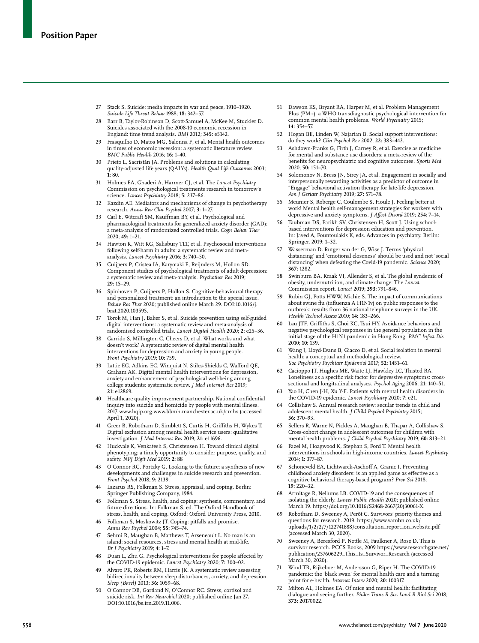- 27 Stack S. Suicide: media impacts in war and peace, 1910–1920. *Suicide Life Threat Behav* 1988; **18:** 342–57.
- 28 Barr B, Taylor-Robinson D, Scott-Samuel A, McKee M, Stuckler D. Suicides associated with the 2008-10 economic recession in England: time trend analysis. *BMJ* 2012; **345:** e5142.
- 29 Frasquilho D, Matos MG, Salonna F, et al. Mental health outcomes in times of economic recession: a systematic literature review. *BMC Public Health* 2016; **16:** 1–40.
- 30 Prieto L, Sacristán JA. Problems and solutions in calculating quality-adjusted life years (QALYs). *Health Qual Life Outcomes* 2003;  $1.80$
- 31 Holmes EA, Ghaderi A, Harmer CJ, et al. The *Lancet Psychiatry*  Commission on psychological treatments research in tomorrow's science. *Lancet Psychiatry* 2018; **5:** 237–86.
- 32 Kazdin AE. Mediators and mechanisms of change in psychotherapy research. *Annu Rev Clin Psychol* 2007; **3:** 1–27.
- 33 Carl E, Witcraft SM, Kauffman BY, et al. Psychological and pharmacological treatments for generalized anxiety disorder (GAD): a meta-analysis of randomized controlled trials. *Cogn Behav Ther* 2020; **49:** 1–21.
- 34 Hawton K, Witt KG, Salisbury TLT, et al. Psychosocial interventions following self-harm in adults: a systematic review and metaanalysis. *Lancet Psychiatry* 2016; **3:** 740–50.
- 35 Cuijpers P, Cristea IA, Karyotaki E, Reijnders M, Hollon SD. Component studies of psychological treatments of adult depression: a systematic review and meta-analysis. *Psychother Res* 2019; **29:** 15–29.
- 36 Spinhoven P, Cuijpers P, Hollon S. Cognitive-behavioural therapy and personalized treatment: an introduction to the special issue. *Behav Res Ther* 2020; published online March 29. DOI:10.1016/j. brat.2020.103595.
- 37 Torok M, Han J, Baker S, et al. Suicide prevention using self-guided digital interventions: a systematic review and meta-analysis of randomised controlled trials. *Lancet Digital Health* 2020; **2:** e25–36.
- 38 Garrido S, Millington C, Cheers D, et al. What works and what doesn't work? A systematic review of digital mental health interventions for depression and anxiety in young people. *Front Psychiatry* 2019; **10:** 759.
- 39 Lattie EG, Adkins EC, Winquist N, Stiles-Shields C, Wafford QE, Graham AK. Digital mental health interventions for depression, anxiety and enhancement of psychological well-being among college students: systematic review. *J Med Internet Res* 2019; **21:** e12869.
- Healthcare quality improvement partnership. National confidential inquiry into suicide and homicide by people with mental illness. 2017. www.hqip.org.www.bbmh.manchester.ac.uk/cmhs (accessed April 1, 2020).
- 41 Greer B, Robotham D, Simblett S, Curtis H, Griffiths H, Wykes T. Digital exclusion among mental health service users: qualitative investigation. *J Med Internet Res* 2019; **21:** e11696.
- 42 Huckvale K, Venkatesh S, Christensen H. Toward clinical digital phenotyping: a timely opportunity to consider purpose, quality, and safety. *NPJ Digit Med* 2019; **2:** 88
- 43 O'Connor RC, Portzky G. Looking to the future: a synthesis of new developments and challenges in suicide research and prevention. *Front Psychol* 2018; **9:** 2139.
- 44 Lazarus RS, Folkman S. Stress, appraisal, and coping. Berlin: Springer Publishing Company, 1984.
- 45 Folkman S. Stress, health, and coping: synthesis, commentary, and future directions. In: Folkman S, ed. The Oxford Handbook of stress, health, and coping. Oxford: Oxford University Press, 2010.
- 46 Folkman S, Moskowitz JT. Coping: pitfalls and promise. *Annu Rev Psychol* 2004; **55:** 745–74.
- Sehmi R, Maughan B, Matthews T, Arseneault L. No man is an island: social resources, stress and mental health at mid-life. *Br J Psychiatry* 2019; **4:** 1–7.
- 48 Duan L, Zhu G. Psychological interventions for people affected by the COVID-19 epidemic. *Lancet Psychiatry* 2020; **7:** 300–02.
- Alvaro PK, Roberts RM, Harris JK. A systematic review assessing bidirectionality between sleep disturbances, anxiety, and depression. *Sleep (Basel)* 2013; **36:** 1059–68.
- 50 O'Connor DB, Gartland N, O'Connor RC. Stress, cortisol and suicide risk. *Int Rev Neurobiol* 2020; published online Jan 27**.**  DOI:10.1016/bs.irn.2019.11.006.
- 51 Dawson KS, Bryant RA, Harper M, et al. Problem Management Plus (PM+): a WHO transdiagnostic psychological intervention for common mental health problems. *World Psychiatry* 2015; **14:** 354–57.
- 52 Hogan BE, Linden W, Najarian B. Social support interventions: do they work? *Clin Psychol Rev* 2002; **22:** 383–442.
- 53 Ashdown-Franks G, Firth J, Carney R, et al. Exercise as medicine for mental and substance use disorders: a meta-review of the benefits for neuropsychiatric and cognitive outcomes. *Sports Med* 2020; **50:** 151–70.
- 54 Solomonov N, Bress JN, Sirey JA, et al. Engagement in socially and interpersonally rewarding activities as a predictor of outcome in "Engage" behavioral activation therapy for late-life depression. *Am J Geriatr Psychiatry* 2019; **27:** 571–78.
- 55 Meunier S, Roberge C, Coulombe S, Houle J. Feeling better at work! Mental health self-management strategies for workers with depressive and anxiety symptoms. *J Affect Disord* 2019; **254:** 7–14.
- Taubman DS, Parikh SV, Christensen H, Scott J. Using schoolbased interventions for depression education and prevention. In: Javed A, Fountoulakis K, eds. Advances in psychiatry. Berlin: Springer, 2019: 1–32.
- 57 Wasserman D. Rutger van der G, Wise J. Terms 'physical distancing' and 'emotional closeness' should be used and not 'social distancing' when defeating the Covid-19 pandemic. *Science* 2020; **367:** 1282.
- 58 Swinburn BA, Kraak VI, Allender S, et al. The global syndemic of obesity, undernutrition, and climate change: The *Lancet* Commission report. *Lancet* 2019; **393:** 791–846.
- 59 Rubin GJ, Potts HWW, Michie S. The impact of communications about swine flu (influenza A H1N1v) on public responses to the outbreak: results from 36 national telephone surveys in the UK. *Health Technol Assess* 2010; **14:** 183–266.
- 60 Lau JTF, Griffiths S, Choi KC, Tsui HY. Avoidance behaviors and negative psychological responses in the general population in the initial stage of the H1N1 pandemic in Hong Kong. *BMC Infect Dis* 2010; **10:** 139.
- 61 Wang J, Lloyd-Evans B, Giacco D, et al. Social isolation in mental health: a conceptual and methodological review. *Soc Psychiatry Psychiatr Epidemiol* 2017; **52:** 1451–61.
- 62 Cacioppo JT, Hughes ME, Waite LJ, Hawkley LC, Thisted RA. Loneliness as a specific risk factor for depressive symptoms: crosssectional and longitudinal analyses. *Psychol Aging* 2006; **21:** 140–51.
- Yao H, Chen J-H, Xu Y-F. Patients with mental health disorders in the COVID-19 epidemic. *Lancet Psychiatry* 2020; **7:** e21.
- 64 Collishaw S. Annual research review: secular trends in child and adolescent mental health. *J Child Psychol Psychiatry* 2015; **56:** 370–93.
- Sellers R, Warne N, Pickles A, Maughan B, Thapar A, Collishaw S. Cross-cohort change in adolescent outcomes for children with mental health problems. *J Child Psychol Psychiatry* 2019; **60:** 813–21.
- 66 Fazel M, Hoagwood K, Stephan S, Ford T. Mental health interventions in schools in high-income countries. *Lancet Psychiatry* 2014; **1:** 377–87.
- Schoneveld EA, Lichtwarck-Aschoff A, Granic I. Preventing childhood anxiety disorders: is an applied game as effective as a cognitive behavioral therapy-based program? *Prev Sci* 2018; **19:** 220–32.
- 68 Armitage R, Nellums LB. COVID-19 and the consequences of isolating the elderly. *Lancet Public Health* 2020; published online March 19. https://doi.org/10.1016/S2468-2667(20)30061-X.
- 69 Robotham D, Sweeney A, Perôt C. Survivors' priority themes and questions for research. 2019. https://www.vamhn.co.uk/ uploads/1/2/2/7/122741688/consultation\_report\_on\_website.pdf (accessed March 30, 2020).
- 70 Sweeney A, Beresford P, Nettle M, Faulkner A, Rose D. This is survivor research. PCCS Books, 2009 https://www.researchgate.net/ publication/257606229\_This\_Is\_Survivor\_Research (accessed March 30, 2020).
- Wind TR, Rijkeboer M, Andersson G, Riper H. The COVID-19 pandemic: the 'black swan' for mental health care and a turning point for e-health. *Internet Interv* 2020; **20:** 100317.
- 72 Milton AL, Holmes EA. Of mice and mental health: facilitating dialogue and seeing further. *Philos Trans R Soc Lond B Biol Sci* 2018; **373:** 20170022.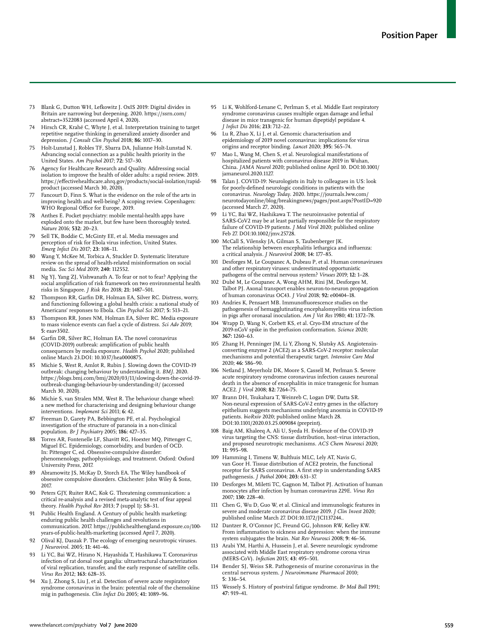- 73 Blank G, Dutton WH, Lefkowitz J. OxIS 2019: Digital divides in Britain are narrowing but deepening. 2020. https://ssrn.com/ abstract=3522083 (accessed April 4, 2020).
- Hirsch CR, Krahé C, Whyte J, et al. Interpretation training to target repetitive negative thinking in generalized anxiety disorder and depression. *J Consult Clin Psychol* 2018; **86:** 1017–30.
- 75 Holt-Lunstad J, Robles TF, Sbarra DA, Julianne Holt-Lunstad N. Advancing social connection as a public health priority in the United States. *Am Psychol* 2017; **72:** 517–30.
- 76 Agency for Healthcare Research and Quality. Addressing social isolation to improve the health of older adults: a rapid review. 2019. https://effectivehealthcare.ahrq.gov/products/social-isolation/rapidproduct (accessed March 30, 2020).
- 77 Fancourt D, Finn S. What is the evidence on the role of the arts in improving health and well-being? A scoping review. Copenhagen: WHO Regional Office for Europe, 2019.
- 78 Anthes E. Pocket psychiatry: mobile mental-health apps have exploded onto the market, but few have been thoroughly tested. *Nature* 2016; **532:** 20–23.
- 79 Sell TK, Boddie C, McGinty EE, et al. Media messages and perception of risk for Ebola virus infection, United States. *Emerg Infect Dis* 2017; **23:** 108–11.
- 80 Wang Y, McKee M, Torbica A, Stuckler D. Systematic literature review on the spread of health-related misinformation on social media. *Soc Sci Med* 2019; **240:** 112552.
- 81 Ng YJ, Yang ZJ, Vishwanath A. To fear or not to fear? Applying the social amplification of risk framework on two environmental health risks in Singapore. *J Risk Res* 2018; **21:** 1487–501.
- Thompson RR, Garfin DR, Holman EA, Silver RC. Distress, worry and functioning following a global health crisis: a national study of Americans' responses to Ebola. *Clin Psychol Sci* 2017; **5:** 513–21.
- 83 Thompson RR, Jones NM, Holman EA, Silver RC. Media exposure to mass violence events can fuel a cycle of distress. *Sci Adv* 2019; **5:** eaav3502.
- Garfin DR, Silver RC, Holman EA. The novel coronavirus (COVID-2019) outbreak: amplification of public health consequences by media exposure. *Health Psychol* 2020; published online March 23.DOI: 10.1037/hea0000875.
- 85 Michie S, West R, Amlot R, Rubin J. Slowing down the COVID-19 outbreak: changing behaviour by understanding it. *BMJ*. 2020. https://blogs.bmj.com/bmj/2020/03/11/slowing-down-the-covid-19 outbreak-changing-behaviour-by-understanding-it/ (accessed March 30, 2020).
- Michie S, van Stralen MM, West R. The behaviour change wheel: a new method for characterising and designing behaviour change interventions. *Implement Sci* 2011; **6:** 42.
- 87 Freeman D, Garety PA, Bebbington PE, et al. Psychological investigation of the structure of paranoia in a non-clinical population. *Br J Psychiatry* 2005; **186:** 427–35.
- 88 Torres AR, Fontenelle LF, Shavitt RG, Hoexter MQ, Pittenger C, Miguel EC. Epidemiology, comorbidity, and burden of OCD. In: Pittenger C, ed. Obsessive-compulsive disorder: phenomenology, pathophysiology, and treatment. Oxford: Oxford University Press, 2017.
- 89 Abramowitz JS, McKay D, Storch EA. The Wiley handbook of obsessive compulsive disorders. Chichester: John Wiley & Sons, 2017.
- 90 Peters GJY, Ruiter RAC, Kok G. Threatening communication: a critical re-analysis and a revised meta-analytic test of fear appeal theory. *Health Psychol Rev* 2013; **7** (suppl 1)**:** S8–31.
- 91 Public Health England. A Century of public health marketing: enduring public health challenges and revolutions in communication. 2017. https://publichealthengland.exposure.co/100 years-of-public-health-marketing (accessed April 7, 2020).
- 92 Olival KJ, Daszak P. The ecology of emerging neurotropic viruses. *J Neurovirol*. 2005; **11:** 441–46.
- 93 Li YC, Bai WZ, Hirano N, Hayashida T, Hashikawa T. Coronavirus infection of rat dorsal root ganglia: ultrastructural characterization of viral replication, transfer, and the early response of satellite cells. *Virus Res* 2012; **163:** 628–35.
- 94 Xu J, Zhong S, Liu J, et al. Detection of severe acute respiratory syndrome coronavirus in the brain: potential role of the chemokine mig in pathogenesis. *Clin Infect Dis* 2005; **41:** 1089–96.
- 95 Li K, Wohlford-Lenane C, Perlman S, et al. Middle East respiratory syndrome coronavirus causes multiple organ damage and lethal disease in mice transgenic for human dipeptidyl peptidase 4. *J Infect Dis* 2016; **213:** 712–22.
- 96 Lu R, Zhao X, Li J, et al. Genomic characterisation and epidemiology of 2019 novel coronavirus: implications for virus origins and receptor binding. *Lancet* 2020; **395:** 565–74.
- Mao L, Wang M, Chen S, et al. Neurological manifestations of hospitalized patients with coronavirus disease 2019 in Wuhan, China. *JAMA Neurol* 2020; published online April 10. DOI:10.1001/ jamaneurol.2020.1127.
- 98 Talan J. COVID-19: Neurologists in Italy to colleagues in US: look for poorly-defined neurologic conditions in patients with the coronavirus. *Neurology Today*. 2020. https://journals.lww.com/ neurotodayonline/blog/breakingnews/pages/post.aspx?PostID=920 (accessed March 27, 2020).
- 99 Li YC, Bai WZ, Hashikawa T. The neuroinvasive potential of SARS-CoV2 may be at least partially responsible for the respiratory failure of COVID-19 patients. *J Med Virol* 2020; published online Feb 27. DOI:10.1002/jmv.25728.
- 100 McCall S, Vilensky JA, Gilman S, Taubenberger JK. The relationship between encephalitis lethargica and influenza: a critical analysis. *J Neurovirol* 2008; **14:** 177–85.
- 101 Desforges M, Le Coupanec A, Dubeau P, et al. Human coronaviruses and other respiratory viruses: underestimated opportunistic pathogens of the central nervous system? *Viruses* 2019; **12:** 1–28.
- 102 Dubé M, Le Coupanec A, Wong AHM, Rini JM, Desforges M, Talbot PJ. Axonal transport enables neuron-to-neuron propagation of human coronavirus OC43. *J Virol* 2018; **92:** e00404–18.
- 103 Andries K, Pensaert MB. Immunofluorescence studies on the pathogenesis of hemagglutinating encephalomyelitis virus infection in pigs after oronasal inoculation. *Am J Vet Res* 1980; **41:** 1372–78.
- 104 Wrapp D, Wang N, Corbett KS, et al. Cryo-EM structure of the 2019-nCoV spike in the prefusion conformation. *Science* 2020; **367:** 1260–63.
- 105 Zhang H, Penninger JM, Li Y, Zhong N, Slutsky AS. Angiotensinconverting enzyme 2 (ACE2) as a SARS-CoV-2 receptor: molecular mechanisms and potential therapeutic target. *Intensive Care Med* 2020; **46:** 586–90.
- 106 Netland J, Meyerholz DK, Moore S, Cassell M, Perlman S. Severe acute respiratory syndrome coronavirus infection causes neuronal death in the absence of encephalitis in mice transgenic for human ACE2. *J Virol* 2008; **82:** 7264–75.
- 107 Brann DH, Tsukahara T, Weinreb C, Logan DW, Datta SR. Non-neural expression of SARS-CoV-2 entry genes in the olfactory epithelium suggests mechanisms underlying anosmia in COVID-19 patients. *bioRxiv* 2020; published online March 28. DOI:10.1101/2020.03.25.009084 (preprint).
- 108 Baig AM, Khaleeq A, Ali U, Syeda H. Evidence of the COVID-19 virus targeting the CNS: tissue distribution, host–virus interaction, and proposed neurotropic mechanisms. *ACS Chem Neurosci* 2020; **11:** 995–98.
- 109 Hamming I, Timens W, Bulthuis MLC, Lely AT, Navis G, van Goor H. Tissue distribution of ACE2 protein, the functional receptor for SARS coronavirus. A first step in understanding SARS pathogenesis. *J Pathol* 2004; **203:** 631–37.
- 110 Desforges M, Miletti TC, Gagnon M, Talbot PJ. Activation of human monocytes after infection by human coronavirus 229E. *Virus Res* 2007; **130:** 228–40.
- 111 Chen G, Wu D, Guo W, et al. Clinical and immunologic features in severe and moderate coronavirus disease 2019. *J Clin Invest* 2020; published online March 27. DOI:10.1172/JCI137244..
- 112 Dantzer R, O'Connor JC, Freund GG, Johnson RW, Kelley KW. From inflammation to sickness and depression: when the immune system subjugates the brain. *Nat Rev Neurosci* 2008; **9:** 46–56.
- 113 Arabi YM, Harthi A, Hussein J, et al. Severe neurologic syndrome associated with Middle East respiratory syndrome corona virus (MERS-CoV). *Infection* 2015; **43:** 495–501.
- 114 Bender SJ, Weiss SR. Pathogenesis of murine coronavirus in the central nervous system. *J Neuroimmune Pharmacol* 2010; **5:** 336–54.
- 115 Wessely S. History of postviral fatigue syndrome. *Br Med Bull* 1991; **47:** 919–41.